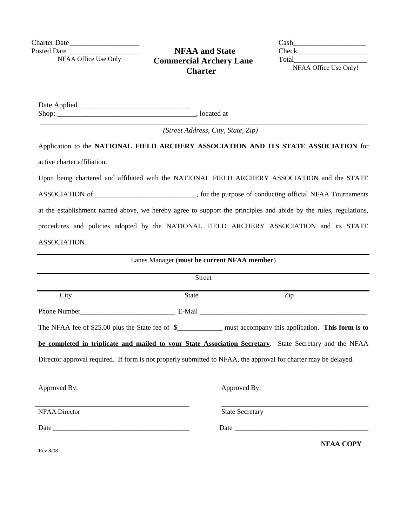Charter Date\_\_\_\_\_\_\_\_\_\_\_\_\_\_\_\_\_\_\_

Posted Date NFAA Office Use Only

## **NFAA and State Commercial Archery Lane Charter**

Cash\_\_\_\_\_\_\_\_\_\_\_\_\_\_\_\_\_\_\_\_ Check\_\_\_\_\_\_\_\_\_\_\_\_\_\_\_\_\_\_\_ Total NFAA Office Use Only!

Date Applied\_\_\_\_\_\_\_\_\_\_\_\_\_\_\_\_\_\_\_\_\_\_\_\_\_\_\_\_\_\_\_ Shop: \_\_\_\_\_\_\_\_\_\_\_\_\_\_\_\_\_\_\_\_\_\_\_\_\_\_\_\_\_\_\_\_\_\_\_\_\_\_, located at

*(Street Address, City, State, Zip)*

Application to the **NATIONAL FIELD ARCHERY ASSOCIATION AND ITS STATE ASSOCIATION** for active charter affiliation.

Upon being chartered and affiliated with the NATIONAL FIELD ARCHERY ASSOCIATION and the STATE ASSOCIATION of \_\_\_\_\_\_\_\_\_\_\_\_\_\_\_\_\_\_\_\_\_\_\_\_, for the purpose of conducting official NFAA Tournaments at the establishment named above, we hereby agree to support the principles and abide by the rules, regulations, procedures and policies adopted by the NATIONAL FIELD ARCHERY ASSOCIATION and its STATE ASSOCIATION.

| Lanes Manager (must be current NFAA member)                                                                     |       |                        |     |                  |  |  |
|-----------------------------------------------------------------------------------------------------------------|-------|------------------------|-----|------------------|--|--|
| <b>Street</b>                                                                                                   |       |                        |     |                  |  |  |
| City                                                                                                            | State |                        | Zip |                  |  |  |
|                                                                                                                 |       |                        |     |                  |  |  |
| The NFAA fee of \$25.00 plus the State fee of \$______________ must accompany this application. This form is to |       |                        |     |                  |  |  |
| be completed in triplicate and mailed to your State Association Secretary. State Secretary and the NFAA         |       |                        |     |                  |  |  |
| Director approval required. If form is not properly submitted to NFAA, the approval for charter may be delayed. |       |                        |     |                  |  |  |
| Approved By:                                                                                                    |       | Approved By:           |     |                  |  |  |
| <b>NFAA Director</b>                                                                                            |       | <b>State Secretary</b> |     |                  |  |  |
|                                                                                                                 |       |                        |     |                  |  |  |
|                                                                                                                 |       |                        |     | <b>NFAA COPY</b> |  |  |

Rev 8/08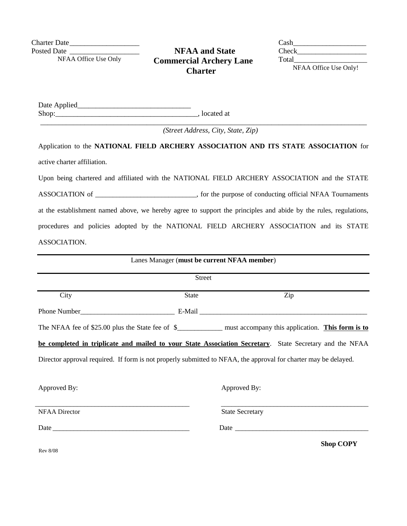Charter Date\_\_\_\_\_\_\_\_\_\_\_\_\_\_\_\_\_\_\_

Posted Date NFAA Office Use Only

## **NFAA and State Commercial Archery Lane Charter**

Cash\_\_\_\_\_\_\_\_\_\_\_\_\_\_\_\_\_\_\_\_ Check\_\_\_\_\_\_\_\_\_\_\_\_\_\_\_\_\_\_\_ Total NFAA Office Use Only!

Date Applied\_\_\_\_\_\_\_\_\_\_\_\_\_\_\_\_\_\_\_\_\_\_\_\_\_\_\_\_\_\_\_ Shop: Shop: Shop: Shop: Shop: Shop: Shop: Shop: Shop: Shop: Shop: Shop: Shop: Shop: Shop: Shop: Shop: Shop: Shop: Shop: Shop: Shop: Shop: Shop: Shop: Shop: Shop: Shop: Shop: Shop: Shop: Shop: Shop: Shop: Shop: Shop: Shop:

*(Street Address, City, State, Zip)*

Application to the **NATIONAL FIELD ARCHERY ASSOCIATION AND ITS STATE ASSOCIATION** for active charter affiliation.

Upon being chartered and affiliated with the NATIONAL FIELD ARCHERY ASSOCIATION and the STATE ASSOCIATION of \_\_\_\_\_\_\_\_\_\_\_\_\_\_\_\_\_\_\_\_\_\_\_\_, for the purpose of conducting official NFAA Tournaments at the establishment named above, we hereby agree to support the principles and abide by the rules, regulations, procedures and policies adopted by the NATIONAL FIELD ARCHERY ASSOCIATION and its STATE ASSOCIATION.

| Lanes Manager (must be current NFAA member)<br><b>Street</b>                                                                                                                                                                   |                                                                                                                 |                                                                                                                                                                                                                                |  |                   |  |  |
|--------------------------------------------------------------------------------------------------------------------------------------------------------------------------------------------------------------------------------|-----------------------------------------------------------------------------------------------------------------|--------------------------------------------------------------------------------------------------------------------------------------------------------------------------------------------------------------------------------|--|-------------------|--|--|
|                                                                                                                                                                                                                                |                                                                                                                 |                                                                                                                                                                                                                                |  |                   |  |  |
|                                                                                                                                                                                                                                |                                                                                                                 |                                                                                                                                                                                                                                |  |                   |  |  |
|                                                                                                                                                                                                                                | The NFAA fee of \$25.00 plus the State fee of \$______________ must accompany this application. This form is to |                                                                                                                                                                                                                                |  |                   |  |  |
| be completed in triplicate and mailed to your State Association Secretary. State Secretary and the NFAA                                                                                                                        |                                                                                                                 |                                                                                                                                                                                                                                |  |                   |  |  |
| Director approval required. If form is not properly submitted to NFAA, the approval for charter may be delayed.                                                                                                                |                                                                                                                 |                                                                                                                                                                                                                                |  |                   |  |  |
| Approved By:                                                                                                                                                                                                                   |                                                                                                                 | Approved By:                                                                                                                                                                                                                   |  |                   |  |  |
| <b>NFAA Director</b>                                                                                                                                                                                                           |                                                                                                                 | <b>State Secretary</b>                                                                                                                                                                                                         |  |                   |  |  |
| Date and the contract of the contract of the contract of the contract of the contract of the contract of the contract of the contract of the contract of the contract of the contract of the contract of the contract of the c |                                                                                                                 | Date and the contract of the contract of the contract of the contract of the contract of the contract of the contract of the contract of the contract of the contract of the contract of the contract of the contract of the c |  |                   |  |  |
|                                                                                                                                                                                                                                |                                                                                                                 |                                                                                                                                                                                                                                |  | $\alpha$ $\alpha$ |  |  |

Rev 8/08

 **Shop COPY**